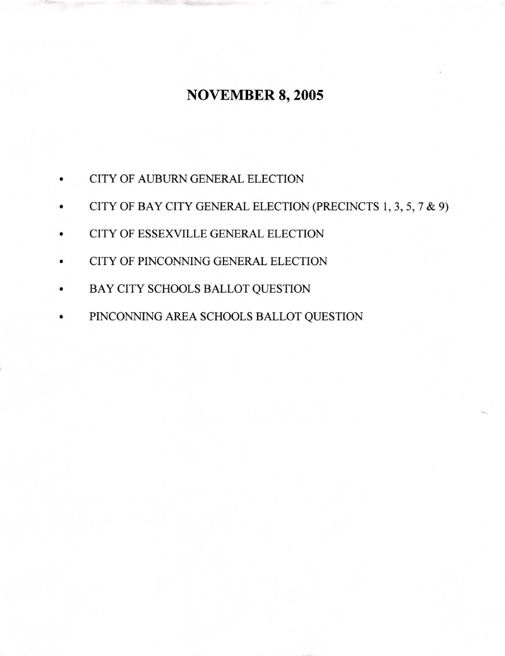## **NOVEMBER 8, 2005**

- CITY OF AUBURN GENERAL ELECTION
- CITY OF BAY CITY GENERAL ELECTION (PRECINCTS 1, 3, 5, 7 & 9)
- CITY OF ESSEXVILLE GENERAL ELECTION
- CITY OF PINCONNING GENERAL ELECTION
- BAY CITY SCHOOLS BALLOT QUESTION
- PINCONNING AREA SCHOOLS BALLOT QUESTION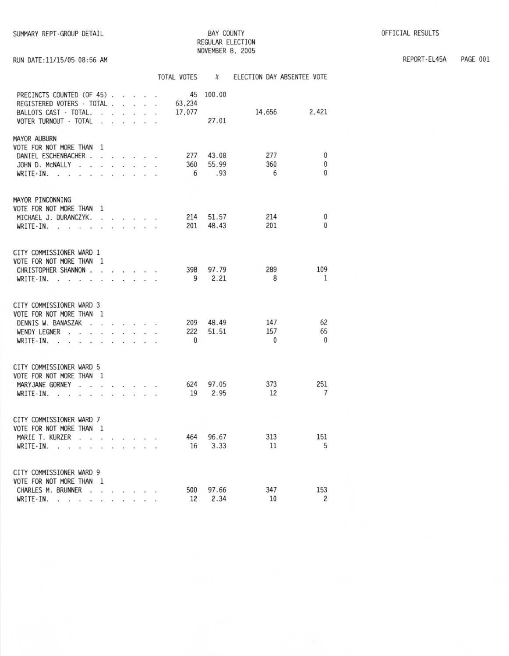## **BAY COUNTY** REGULAR ELECTION NOVEMBER 8, 2005

PAGE 001 REPORT-EL45A

## RUN DATE:11/15/05 08:56 AM

|                                                                                                                                                        |                          |   |                      |    |                                                                                                                                                                                                                                   |   | TOTAL VOTES                  | $\chi$                |                            | ELECTION DAY ABSENTEE VOTE |
|--------------------------------------------------------------------------------------------------------------------------------------------------------|--------------------------|---|----------------------|----|-----------------------------------------------------------------------------------------------------------------------------------------------------------------------------------------------------------------------------------|---|------------------------------|-----------------------|----------------------------|----------------------------|
| PRECINCTS COUNTED (OF 45)<br>REGISTERED VOTERS - TOTAL.<br>BALLOTS CAST - TOTAL.<br>VOTER TURNOUT - TOTAL                                              | L.<br>$\sim$             | ÷ | $\sim$ $\sim$        | ÷. | an i                                                                                                                                                                                                                              |   | 63.234<br>17,077             | 45 100.00<br>27.01    |                            | 2.421<br>14,656            |
| <b>MAYOR AUBURN</b><br>VOTE FOR NOT MORE THAN<br>DANIEL ESCHENBACHER .<br>JOHN D. MCNALLY<br>$\sim$<br>÷.<br>WRITE-IN.<br>$\sim$<br>$\sim$<br>i.<br>÷, | $\overline{1}$<br>$\sim$ |   | $\ddot{\phantom{0}}$ |    | .<br>$\blacksquare$                                                                                                                                                                                                               |   | 277<br>360<br>6              | 43.08<br>55.99<br>.93 | 277<br>360<br>6            | 0<br>0<br>$\mathbf{0}$     |
| MAYOR PINCONNING<br>VOTE FOR NOT MORE THAN 1<br>MICHAEL J. DURANCZYK.<br>WRITE-IN.<br>$\sim$                                                           | <b>CONTRACTOR</b>        |   |                      |    | $\mathbf{r}$ . The set of the set of the set of the set of the set of the set of the set of the set of the set of the set of the set of the set of the set of the set of the set of the set of the set of the set of the set of t |   | 201                          | 214 51.57<br>48.43    | 214<br>201                 | 0<br>$\Omega$              |
| CITY COMMISSIONER WARD 1<br>VOTE FOR NOT MORE THAN 1<br>CHRISTOPHER SHANNON .<br>WRITE-IN.<br>$\sim$<br>ä.<br>$\sim$                                   | <b>County</b>            |   |                      |    | the company of the company<br>$\cdot$ $\cdot$ $\cdot$                                                                                                                                                                             |   | 398                          | 97.79<br>9 2.21       | 289<br>8                   | 109<br>$\mathbf{1}$        |
| CITY COMMISSIONER WARD 3<br>VOTE FOR NOT MORE THAN 1<br>DENNIS W. BANASZAK<br>l.<br>WENDY LEGNER<br>WRITE-IN.                                          | ÷.                       |   | $\sim$ $\sim$        |    |                                                                                                                                                                                                                                   |   | 209<br>222<br>$\overline{0}$ | 48.49<br>51.51        | 147<br>157<br>$\mathbf{0}$ | 62<br>65<br>$\overline{0}$ |
| CITY COMMISSIONER WARD 5<br>VOTE FOR NOT MORE THAN 1<br>MARYJANE GORNEY<br>$\mathbf{r}$<br>$\overline{a}$<br>WRITE-IN.<br>$\sim$<br>÷,                 | ÷                        |   | $\cdot$<br>$\sim$    |    | $\cdot$ $\cdot$ $\cdot$                                                                                                                                                                                                           | ÷ | 624                          | 97.05<br>19 2.95      | 373<br>12                  | 251<br>$7\overline{ }$     |
| CITY COMMISSIONER WARD 7<br>VOTE FOR NOT MORE THAN 1<br>MARIE T. KURZER<br>$\sim$ $\sim$<br>WRITE-IN.<br>$\sim$<br>l.<br>ú.                            | à.<br>i.                 |   |                      |    | $\cdot$ $\cdot$ $\cdot$ $\cdot$                                                                                                                                                                                                   |   | 464<br>16                    | 96.67<br>3.33         | 313<br>11                  | 151<br>5                   |
| CITY COMMISSIONER WARD 9<br>VOTE FOR NOT MORE THAN<br>CHARLES M. BRUNNER<br>WRITE-IN.<br><b>Carl</b><br>$\overline{a}$                                 | $\overline{1}$<br>ù.     |   |                      |    | $\sim$ $\sim$ $\sim$ $\sim$                                                                                                                                                                                                       |   | 500<br>12                    | 97.66<br>2.34         | 347<br>10                  | 153<br>2                   |